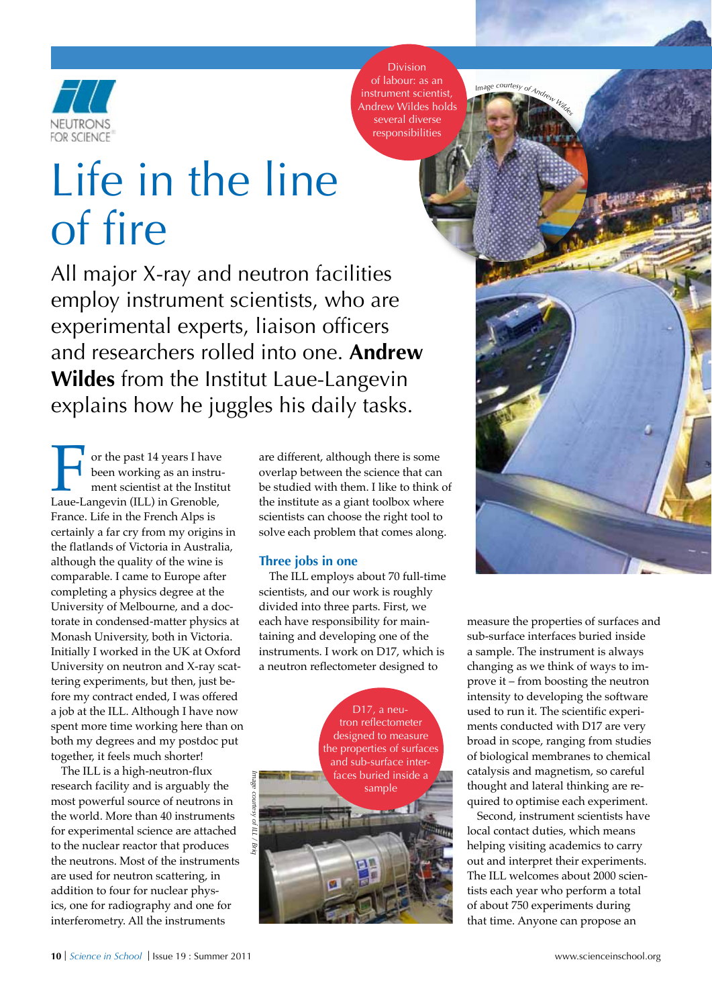

Division of labour: as an instrument scientist, Andrew Wildes holds several diverse responsibilities

*<i>I*mage courtesy of *A*<sub>*r*</sub></sub>

# Life in the line of fire

All major X-ray and neutron facilities employ instrument scientists, who are experimental experts, liaison officers and researchers rolled into one. **Andrew Wildes** from the Institut Laue-Langevin explains how he juggles his daily tasks.

For the past 14 years I have<br>been working as an instru-<br>ment scientist at the Institution Laue-Langevin (ILL) in Grenoble, been working as an instrument scientist at the Institut France. Life in the French Alps is certainly a far cry from my origins in the flatlands of Victoria in Australia, although the quality of the wine is comparable. I came to Europe after completing a physics degree at the University of Melbourne, and a doctorate in condensed-matter physics at Monash University, both in Victoria. Initially I worked in the UK at Oxford University on neutron and X-ray scattering experiments, but then, just before my contract ended, I was offered a job at the ILL. Although I have now spent more time working here than on both my degrees and my postdoc put together, it feels much shorter!

The ILL is a high-neutron-flux research facility and is arguably the most powerful source of neutrons in the world. More than 40 instruments for experimental science are attached to the nuclear reactor that produces the neutrons. Most of the instruments are used for neutron scattering, in addition to four for nuclear physics, one for radiography and one for interferometry. All the instruments

are different, although there is some overlap between the science that can be studied with them. I like to think of the institute as a giant toolbox where scientists can choose the right tool to solve each problem that comes along.

#### **Three jobs in one**

The ILL employs about 70 full-time scientists, and our work is roughly divided into three parts. First, we each have responsibility for maintaining and developing one of the instruments. I work on D17, which is a neutron reflectometer designed to



measure the properties of surfaces and sub-surface interfaces buried inside a sample. The instrument is always changing as we think of ways to improve it – from boosting the neutron intensity to developing the software used to run it. The scientific experi-

ments conducted with D17 are very broad in scope, ranging from studies of biological membranes to chemical catalysis and magnetism, so careful thought and lateral thinking are required to optimise each experiment.

Second, instrument scientists have local contact duties, which means helping visiting academics to carry out and interpret their experiments. The ILL welcomes about 2000 scientists each year who perform a total of about 750 experiments during that time. Anyone can propose an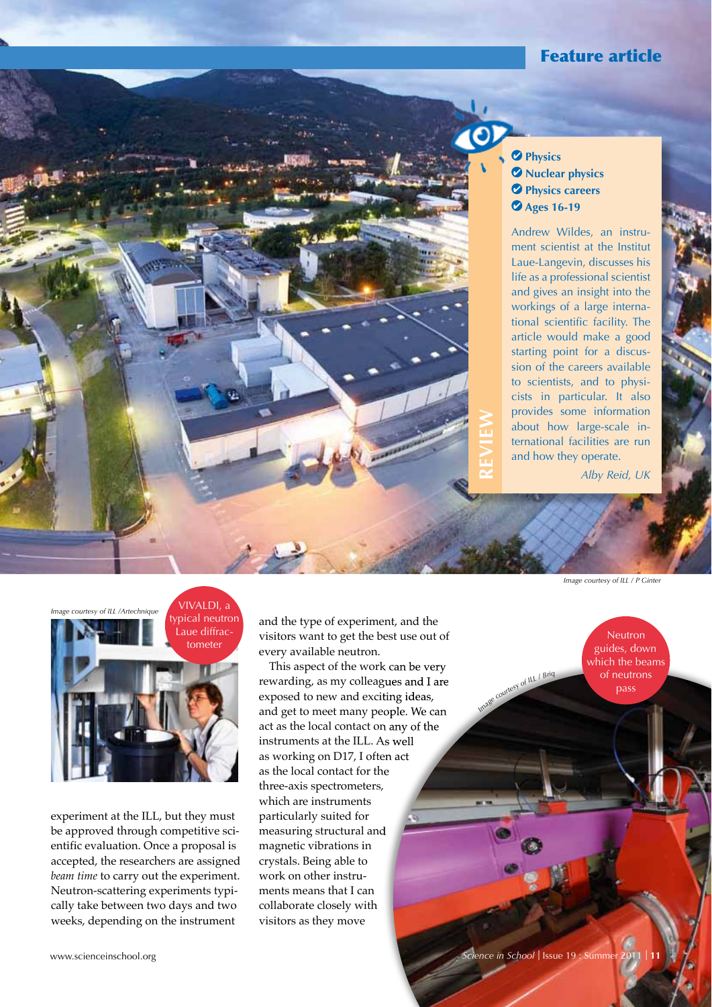## Feature article



### **Physics**  $\bullet$  Nuclear physics *<u>Physics careers</u>*  **Ages 16-19**

Andrew Wildes, an instrument scientist at the Institut Laue-Langevin, discusses his life as a professional scientist and gives an insight into the workings of a large international scientific facility. The article would make a good starting point for a discussion of the careers available to scientists, and to physicists in particular. It also provides some information about how large-scale international facilities are run and how they operate.

*Alby Reid, UK*



experiment at the ILL, but they must be approved through competitive scientific evaluation. Once a proposal is accepted, the researchers are assigned *beam time* to carry out the experiment. Neutron-scattering experiments typically take between two days and two weeks, depending on the instrument

and the type of experiment, and the visitors want to get the best use out of every available neutron.

This aspect of the work can be very rewarding, as my colleagues and I are exposed to new and exciting ideas, and get to meet many people. We can act as the local contact on any of the instruments at the ILL. As well as working on D17, I often act as the local contact for the three-axis spectrometers, which are instruments particularly suited for measuring structural and magnetic vibrations in crystals. Being able to work on other instruments means that I can collaborate closely with visitors as they move

*Image courtesy of ILL / P Ginter*

**Neutron** guides, down which the beams of neutrons pass

*Imag<sup>e</sup> <sup>c</sup>ourte<sup>s</sup><sup>y</sup> <sup>o</sup>f IL<sup>L</sup> / <sup>B</sup>ri<sup>q</sup>*